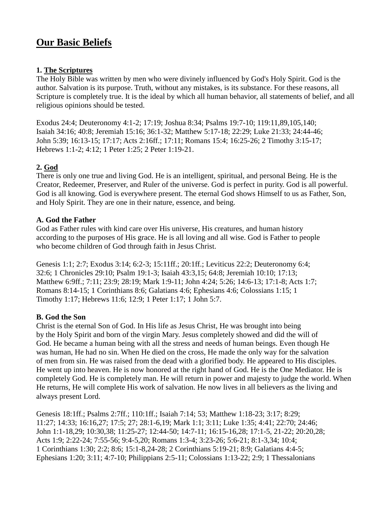# **Our Basic Beliefs**

## **1. The Scriptures**

The Holy Bible was written by men who were divinely influenced by God's Holy Spirit. God is the author. Salvation is its purpose. Truth, without any mistakes, is its substance. For these reasons, all Scripture is completely true. It is the ideal by which all human behavior, all statements of belief, and all religious opinions should be tested.

Exodus 24:4; Deuteronomy 4:1-2; 17:19; Joshua 8:34; Psalms 19:7-10; 119:11,89,105,140; Isaiah 34:16; 40:8; Jeremiah 15:16; 36:1-32; Matthew 5:17-18; 22:29; Luke 21:33; 24:44-46; John 5:39; 16:13-15; 17:17; Acts 2:16ff.; 17:11; Romans 15:4; 16:25-26; 2 Timothy 3:15-17; Hebrews 1:1-2; 4:12; 1 Peter 1:25; 2 Peter 1:19-21.

# **2. God**

There is only one true and living God. He is an intelligent, spiritual, and personal Being. He is the Creator, Redeemer, Preserver, and Ruler of the universe. God is perfect in purity. God is all powerful. God is all knowing. God is everywhere present. The eternal God shows Himself to us as Father, Son, and Holy Spirit. They are one in their nature, essence, and being.

# **A. God the Father**

God as Father rules with kind care over His universe, His creatures, and human history according to the purposes of His grace. He is all loving and all wise. God is Father to people who become children of God through faith in Jesus Christ.

Genesis 1:1; 2:7; Exodus 3:14; 6:2-3; 15:11ff.; 20:1ff.; Leviticus 22:2; Deuteronomy 6:4; 32:6; 1 Chronicles 29:10; Psalm 19:1-3; Isaiah 43:3,15; 64:8; Jeremiah 10:10; 17:13; Matthew 6:9ff.; 7:11; 23:9; 28:19; Mark 1:9-11; John 4:24; 5:26; 14:6-13; 17:1-8; Acts 1:7; Romans 8:14-15; 1 Corinthians 8:6; Galatians 4:6; Ephesians 4:6; Colossians 1:15; 1 Timothy 1:17; Hebrews 11:6; 12:9; 1 Peter 1:17; 1 John 5:7.

## **B. God the Son**

Christ is the eternal Son of God. In His life as Jesus Christ, He was brought into being by the Holy Spirit and born of the virgin Mary. Jesus completely showed and did the will of God. He became a human being with all the stress and needs of human beings. Even though He was human, He had no sin. When He died on the cross, He made the only way for the salvation of men from sin. He was raised from the dead with a glorified body. He appeared to His disciples. He went up into heaven. He is now honored at the right hand of God. He is the One Mediator. He is completely God. He is completely man. He will return in power and majesty to judge the world. When He returns, He will complete His work of salvation. He now lives in all believers as the living and always present Lord.

Genesis 18:1ff.; Psalms 2:7ff.; 110:1ff.; Isaiah 7:14; 53; Matthew 1:18-23; 3:17; 8:29; 11:27; 14:33; 16:16,27; 17:5; 27; 28:1-6,19; Mark 1:1; 3:11; Luke 1:35; 4:41; 22:70; 24:46; John 1:1-18,29; 10:30,38; 11:25-27; 12:44-50; 14:7-11; 16:15-16,28; 17:1-5, 21-22; 20:20,28; Acts 1:9; 2:22-24; 7:55-56; 9:4-5,20; Romans 1:3-4; 3:23-26; 5:6-21; 8:1-3,34; 10:4; 1 Corinthians 1:30; 2:2; 8:6; 15:1-8,24-28; 2 Corinthians 5:19-21; 8:9; Galatians 4:4-5; Ephesians 1:20; 3:11; 4:7-10; Philippians 2:5-11; Colossians 1:13-22; 2:9; 1 Thessalonians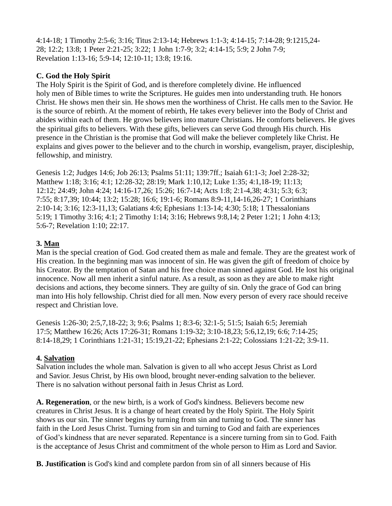4:14-18; 1 Timothy 2:5-6; 3:16; Titus 2:13-14; Hebrews 1:1-3; 4:14-15; 7:14-28; 9:1215,24- 28; 12:2; 13:8; 1 Peter 2:21-25; 3:22; 1 John 1:7-9; 3:2; 4:14-15; 5:9; 2 John 7-9; Revelation 1:13-16; 5:9-14; 12:10-11; 13:8; 19:16.

## **C. God the Holy Spirit**

The Holy Spirit is the Spirit of God, and is therefore completely divine. He influenced holy men of Bible times to write the Scriptures. He guides men into understanding truth. He honors Christ. He shows men their sin. He shows men the worthiness of Christ. He calls men to the Savior. He is the source of rebirth. At the moment of rebirth, He takes every believer into the Body of Christ and abides within each of them. He grows believers into mature Christians. He comforts believers. He gives the spiritual gifts to believers. With these gifts, believers can serve God through His church. His presence in the Christian is the promise that God will make the believer completely like Christ. He explains and gives power to the believer and to the church in worship, evangelism, prayer, discipleship, fellowship, and ministry.

Genesis 1:2; Judges 14:6; Job 26:13; Psalms 51:11; 139:7ff.; Isaiah 61:1-3; Joel 2:28-32; Matthew 1:18; 3:16; 4:1; 12:28-32; 28:19; Mark 1:10,12; Luke 1:35; 4:1,18-19; 11:13; 12:12; 24:49; John 4:24; 14:16-17,26; 15:26; 16:7-14; Acts 1:8; 2:1-4,38; 4:31; 5:3; 6:3; 7:55; 8:17,39; 10:44; 13:2; 15:28; 16:6; 19:1-6; Romans 8:9-11,14-16,26-27; 1 Corinthians 2:10-14; 3:16; 12:3-11,13; Galatians 4:6; Ephesians 1:13-14; 4:30; 5:18; 1 Thessalonians 5:19; 1 Timothy 3:16; 4:1; 2 Timothy 1:14; 3:16; Hebrews 9:8,14; 2 Peter 1:21; 1 John 4:13; 5:6-7; Revelation 1:10; 22:17.

# **3. Man**

Man is the special creation of God. God created them as male and female. They are the greatest work of His creation. In the beginning man was innocent of sin. He was given the gift of freedom of choice by his Creator. By the temptation of Satan and his free choice man sinned against God. He lost his original innocence. Now all men inherit a sinful nature. As a result, as soon as they are able to make right decisions and actions, they become sinners. They are guilty of sin. Only the grace of God can bring man into His holy fellowship. Christ died for all men. Now every person of every race should receive respect and Christian love.

Genesis 1:26-30; 2:5,7,18-22; 3; 9:6; Psalms 1; 8:3-6; 32:1-5; 51:5; Isaiah 6:5; Jeremiah 17:5; Matthew 16:26; Acts 17:26-31; Romans 1:19-32; 3:10-18,23; 5:6,12,19; 6:6; 7:14-25; 8:14-18,29; 1 Corinthians 1:21-31; 15:19,21-22; Ephesians 2:1-22; Colossians 1:21-22; 3:9-11.

# **4. Salvation**

Salvation includes the whole man. Salvation is given to all who accept Jesus Christ as Lord and Savior. Jesus Christ, by His own blood, brought never-ending salvation to the believer. There is no salvation without personal faith in Jesus Christ as Lord.

**A. Regeneration**, or the new birth, is a work of God's kindness. Believers become new creatures in Christ Jesus. It is a change of heart created by the Holy Spirit. The Holy Spirit shows us our sin. The sinner begins by turning from sin and turning to God. The sinner has faith in the Lord Jesus Christ. Turning from sin and turning to God and faith are experiences of God's kindness that are never separated. Repentance is a sincere turning from sin to God. Faith is the acceptance of Jesus Christ and commitment of the whole person to Him as Lord and Savior.

**B. Justification** is God's kind and complete pardon from sin of all sinners because of His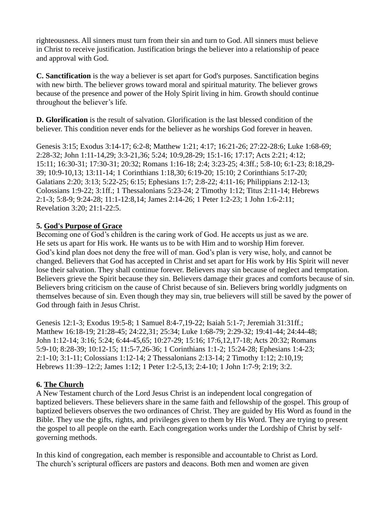righteousness. All sinners must turn from their sin and turn to God. All sinners must believe in Christ to receive justification. Justification brings the believer into a relationship of peace and approval with God.

**C. Sanctification** is the way a believer is set apart for God's purposes. Sanctification begins with new birth. The believer grows toward moral and spiritual maturity. The believer grows because of the presence and power of the Holy Spirit living in him. Growth should continue throughout the believer's life.

**D. Glorification** is the result of salvation. Glorification is the last blessed condition of the believer. This condition never ends for the believer as he worships God forever in heaven.

Genesis 3:15; Exodus 3:14-17; 6:2-8; Matthew 1:21; 4:17; 16:21-26; 27:22-28:6; Luke 1:68-69; 2:28-32; John 1:11-14,29; 3:3-21,36; 5:24; 10:9,28-29; 15:1-16; 17:17; Acts 2:21; 4:12; 15:11; 16:30-31; 17:30-31; 20:32; Romans 1:16-18; 2:4; 3:23-25; 4:3ff.; 5:8-10; 6:1-23; 8:18,29- 39; 10:9-10,13; 13:11-14; 1 Corinthians 1:18,30; 6:19-20; 15:10; 2 Corinthians 5:17-20; Galatians 2:20; 3:13; 5:22-25; 6:15; Ephesians 1:7; 2:8-22; 4:11-16; Philippians 2:12-13; Colossians 1:9-22; 3:1ff.; 1 Thessalonians 5:23-24; 2 Timothy 1:12; Titus 2:11-14; Hebrews 2:1-3; 5:8-9; 9:24-28; 11:1-12:8,14; James 2:14-26; 1 Peter 1:2-23; 1 John 1:6-2:11; Revelation 3:20; 21:1-22:5.

#### **5. God's Purpose of Grace**

Becoming one of God's children is the caring work of God. He accepts us just as we are. He sets us apart for His work. He wants us to be with Him and to worship Him forever. God's kind plan does not deny the free will of man. God's plan is very wise, holy, and cannot be changed. Believers that God has accepted in Christ and set apart for His work by His Spirit will never lose their salvation. They shall continue forever. Believers may sin because of neglect and temptation. Believers grieve the Spirit because they sin. Believers damage their graces and comforts because of sin. Believers bring criticism on the cause of Christ because of sin. Believers bring worldly judgments on themselves because of sin. Even though they may sin, true believers will still be saved by the power of God through faith in Jesus Christ.

Genesis 12:1-3; Exodus 19:5-8; 1 Samuel 8:4-7,19-22; Isaiah 5:1-7; Jeremiah 31:31ff.; Matthew 16:18-19; 21:28-45; 24:22,31; 25:34; Luke 1:68-79; 2:29-32; 19:41-44; 24:44-48; John 1:12-14; 3:16; 5:24; 6:44-45,65; 10:27-29; 15:16; 17:6,12,17-18; Acts 20:32; Romans 5:9-10; 8:28-39; 10:12-15; 11:5-7,26-36; 1 Corinthians 1:1-2; 15:24-28; Ephesians 1:4-23; 2:1-10; 3:1-11; Colossians 1:12-14; 2 Thessalonians 2:13-14; 2 Timothy 1:12; 2:10,19; Hebrews 11:39–12:2; James 1:12; 1 Peter 1:2-5,13; 2:4-10; 1 John 1:7-9; 2:19; 3:2.

## **6. The Church**

A New Testament church of the Lord Jesus Christ is an independent local congregation of baptized believers. These believers share in the same faith and fellowship of the gospel. This group of baptized believers observes the two ordinances of Christ. They are guided by His Word as found in the Bible. They use the gifts, rights, and privileges given to them by His Word. They are trying to present the gospel to all people on the earth. Each congregation works under the Lordship of Christ by selfgoverning methods.

In this kind of congregation, each member is responsible and accountable to Christ as Lord. The church's scriptural officers are pastors and deacons. Both men and women are given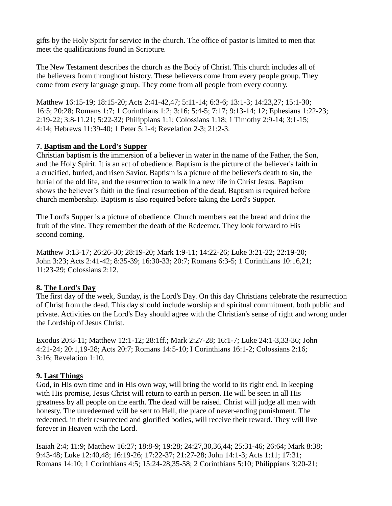gifts by the Holy Spirit for service in the church. The office of pastor is limited to men that meet the qualifications found in Scripture.

The New Testament describes the church as the Body of Christ. This church includes all of the believers from throughout history. These believers come from every people group. They come from every language group. They come from all people from every country.

Matthew 16:15-19; 18:15-20; Acts 2:41-42,47; 5:11-14; 6:3-6; 13:1-3; 14:23,27; 15:1-30; 16:5; 20:28; Romans 1:7; 1 Corinthians 1:2; 3:16; 5:4-5; 7:17; 9:13-14; 12; Ephesians 1:22-23; 2:19-22; 3:8-11,21; 5:22-32; Philippians 1:1; Colossians 1:18; 1 Timothy 2:9-14; 3:1-15; 4:14; Hebrews 11:39-40; 1 Peter 5:1-4; Revelation 2-3; 21:2-3.

## **7. Baptism and the Lord's Supper**

Christian baptism is the immersion of a believer in water in the name of the Father, the Son, and the Holy Spirit. It is an act of obedience. Baptism is the picture of the believer's faith in a crucified, buried, and risen Savior. Baptism is a picture of the believer's death to sin, the burial of the old life, and the resurrection to walk in a new life in Christ Jesus. Baptism shows the believer's faith in the final resurrection of the dead. Baptism is required before church membership. Baptism is also required before taking the Lord's Supper.

The Lord's Supper is a picture of obedience. Church members eat the bread and drink the fruit of the vine. They remember the death of the Redeemer. They look forward to His second coming.

Matthew 3:13-17; 26:26-30; 28:19-20; Mark 1:9-11; 14:22-26; Luke 3:21-22; 22:19-20; John 3:23; Acts 2:41-42; 8:35-39; 16:30-33; 20:7; Romans 6:3-5; 1 Corinthians 10:16,21; 11:23-29; Colossians 2:12.

# **8. The Lord's Day**

The first day of the week, Sunday, is the Lord's Day. On this day Christians celebrate the resurrection of Christ from the dead. This day should include worship and spiritual commitment, both public and private. Activities on the Lord's Day should agree with the Christian's sense of right and wrong under the Lordship of Jesus Christ.

Exodus 20:8-11; Matthew 12:1-12; 28:1ff.; Mark 2:27-28; 16:1-7; Luke 24:1-3,33-36; John 4:21-24; 20:1,19-28; Acts 20:7; Romans 14:5-10; I Corinthians 16:1-2; Colossians 2:16; 3:16; Revelation 1:10.

# **9. Last Things**

God, in His own time and in His own way, will bring the world to its right end. In keeping with His promise, Jesus Christ will return to earth in person. He will be seen in all His greatness by all people on the earth. The dead will be raised. Christ will judge all men with honesty. The unredeemed will be sent to Hell, the place of never-ending punishment. The redeemed, in their resurrected and glorified bodies, will receive their reward. They will live forever in Heaven with the Lord.

Isaiah 2:4; 11:9; Matthew 16:27; 18:8-9; 19:28; 24:27,30,36,44; 25:31-46; 26:64; Mark 8:38; 9:43-48; Luke 12:40,48; 16:19-26; 17:22-37; 21:27-28; John 14:1-3; Acts 1:11; 17:31; Romans 14:10; 1 Corinthians 4:5; 15:24-28,35-58; 2 Corinthians 5:10; Philippians 3:20-21;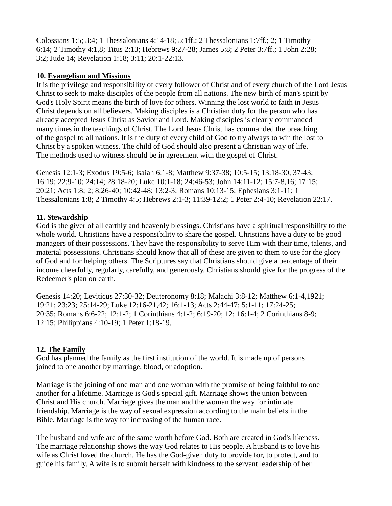Colossians 1:5; 3:4; 1 Thessalonians 4:14-18;  $5:1ff$ ; 2 Thessalonians 1:7ff.; 2; 1 Timothy 6:14; 2 Timothy 4:1,8; Titus 2:13; Hebrews 9:27-28; James 5:8; 2 Peter 3:7ff.; 1 John 2:28; 3:2; Jude 14; Revelation 1:18; 3:11; 20:1-22:13.

#### **10. Evangelism and Missions**

It is the privilege and responsibility of every follower of Christ and of every church of the Lord Jesus Christ to seek to make disciples of the people from all nations. The new birth of man's spirit by God's Holy Spirit means the birth of love for others. Winning the lost world to faith in Jesus Christ depends on all believers. Making disciples is a Christian duty for the person who has already accepted Jesus Christ as Savior and Lord. Making disciples is clearly commanded many times in the teachings of Christ. The Lord Jesus Christ has commanded the preaching of the gospel to all nations. It is the duty of every child of God to try always to win the lost to Christ by a spoken witness. The child of God should also present a Christian way of life. The methods used to witness should be in agreement with the gospel of Christ.

Genesis 12:1-3; Exodus 19:5-6; Isaiah 6:1-8; Matthew 9:37-38; 10:5-15; 13:18-30, 37-43; 16:19; 22:9-10; 24:14; 28:18-20; Luke 10:1-18; 24:46-53; John 14:11-12; 15:7-8,16; 17:15; 20:21; Acts 1:8; 2; 8:26-40; 10:42-48; 13:2-3; Romans 10:13-15; Ephesians 3:1-11; 1 Thessalonians 1:8; 2 Timothy 4:5; Hebrews 2:1-3; 11:39-12:2; 1 Peter 2:4-10; Revelation 22:17.

## **11. Stewardship**

God is the giver of all earthly and heavenly blessings. Christians have a spiritual responsibility to the whole world. Christians have a responsibility to share the gospel. Christians have a duty to be good managers of their possessions. They have the responsibility to serve Him with their time, talents, and material possessions. Christians should know that all of these are given to them to use for the glory of God and for helping others. The Scriptures say that Christians should give a percentage of their income cheerfully, regularly, carefully, and generously. Christians should give for the progress of the Redeemer's plan on earth.

Genesis 14:20; Leviticus 27:30-32; Deuteronomy 8:18; Malachi 3:8-12; Matthew 6:1-4,1921; 19:21; 23:23; 25:14-29; Luke 12:16-21,42; 16:1-13; Acts 2:44-47; 5:1-11; 17:24-25; 20:35; Romans 6:6-22; 12:1-2; 1 Corinthians 4:1-2; 6:19-20; 12; 16:1-4; 2 Corinthians 8-9; 12:15; Philippians 4:10-19; 1 Peter 1:18-19.

## **12. The Family**

God has planned the family as the first institution of the world. It is made up of persons joined to one another by marriage, blood, or adoption.

Marriage is the joining of one man and one woman with the promise of being faithful to one another for a lifetime. Marriage is God's special gift. Marriage shows the union between Christ and His church. Marriage gives the man and the woman the way for intimate friendship. Marriage is the way of sexual expression according to the main beliefs in the Bible. Marriage is the way for increasing of the human race.

The husband and wife are of the same worth before God. Both are created in God's likeness. The marriage relationship shows the way God relates to His people. A husband is to love his wife as Christ loved the church. He has the God-given duty to provide for, to protect, and to guide his family. A wife is to submit herself with kindness to the servant leadership of her